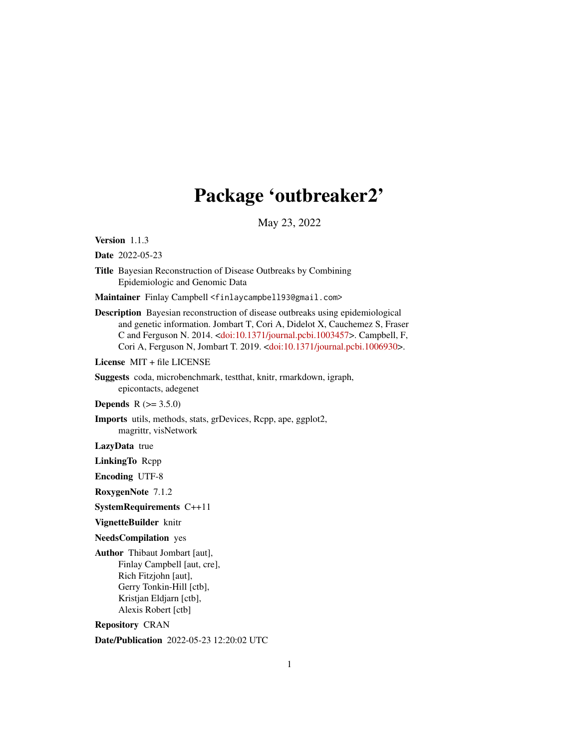# Package 'outbreaker2'

May 23, 2022

<span id="page-0-0"></span>Version 1.1.3

Date 2022-05-23

Title Bayesian Reconstruction of Disease Outbreaks by Combining Epidemiologic and Genomic Data

Maintainer Finlay Campbell <finlaycampbell93@gmail.com>

Description Bayesian reconstruction of disease outbreaks using epidemiological and genetic information. Jombart T, Cori A, Didelot X, Cauchemez S, Fraser C and Ferguson N. 2014. [<doi:10.1371/journal.pcbi.1003457>](https://doi.org/10.1371/journal.pcbi.1003457). Campbell, F, Cori A, Ferguson N, Jombart T. 2019. [<doi:10.1371/journal.pcbi.1006930>](https://doi.org/10.1371/journal.pcbi.1006930).

License MIT + file LICENSE

Suggests coda, microbenchmark, testthat, knitr, rmarkdown, igraph, epicontacts, adegenet

**Depends**  $R (= 3.5.0)$ 

Imports utils, methods, stats, grDevices, Rcpp, ape, ggplot2, magrittr, visNetwork

LazyData true

LinkingTo Rcpp

Encoding UTF-8

RoxygenNote 7.1.2

SystemRequirements C++11

VignetteBuilder knitr

NeedsCompilation yes

Author Thibaut Jombart [aut], Finlay Campbell [aut, cre], Rich Fitzjohn [aut], Gerry Tonkin-Hill [ctb], Kristjan Eldjarn [ctb], Alexis Robert [ctb]

Repository CRAN

Date/Publication 2022-05-23 12:20:02 UTC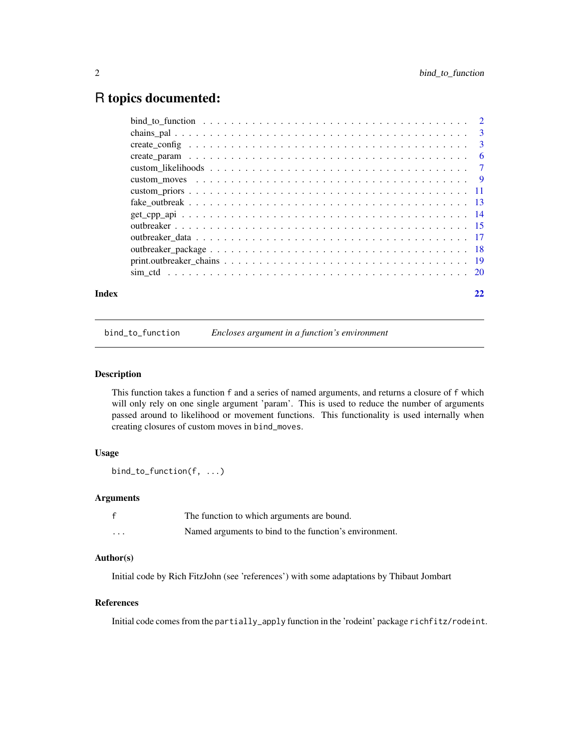# <span id="page-1-0"></span>R topics documented:

| Index | 22 |
|-------|----|
|       |    |
|       |    |
|       |    |
|       |    |
|       |    |
|       |    |
|       |    |
|       |    |
|       |    |
|       |    |
|       |    |
|       |    |
|       |    |
|       |    |

bind\_to\_function *Encloses argument in a function's environment*

# Description

This function takes a function f and a series of named arguments, and returns a closure of f which will only rely on one single argument 'param'. This is used to reduce the number of arguments passed around to likelihood or movement functions. This functionality is used internally when creating closures of custom moves in bind\_moves.

# Usage

bind\_to\_function(f, ...)

# Arguments

|          | The function to which arguments are bound.             |
|----------|--------------------------------------------------------|
| $\cdots$ | Named arguments to bind to the function's environment. |

# Author(s)

Initial code by Rich FitzJohn (see 'references') with some adaptations by Thibaut Jombart

# References

Initial code comes from the partially\_apply function in the 'rodeint' package richfitz/rodeint.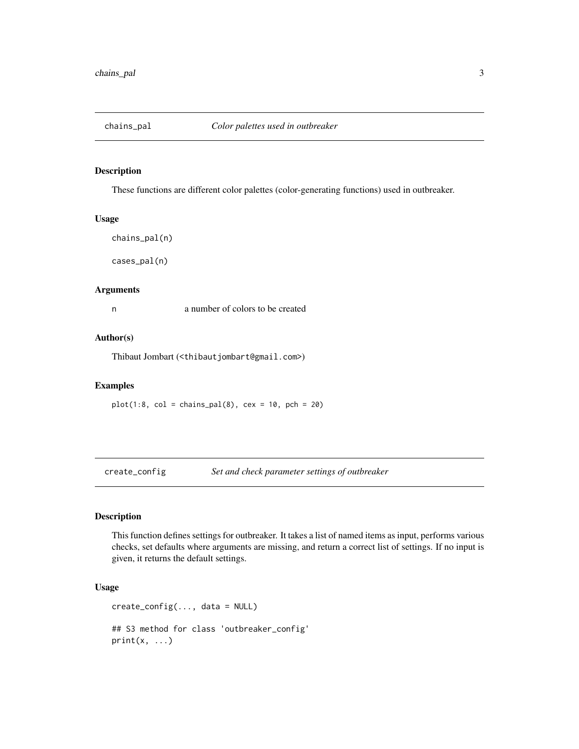<span id="page-2-0"></span>

# Description

These functions are different color palettes (color-generating functions) used in outbreaker.

#### Usage

```
chains_pal(n)
```
cases\_pal(n)

# Arguments

n a number of colors to be created

# Author(s)

Thibaut Jombart (<thibautjombart@gmail.com>)

# Examples

 $plot(1:8, col = chains\_pal(8), cex = 10, pch = 20)$ 

<span id="page-2-1"></span>create\_config *Set and check parameter settings of outbreaker*

# Description

This function defines settings for outbreaker. It takes a list of named items as input, performs various checks, set defaults where arguments are missing, and return a correct list of settings. If no input is given, it returns the default settings.

# Usage

create\_config(..., data = NULL)

## S3 method for class 'outbreaker\_config'  $print(x, \ldots)$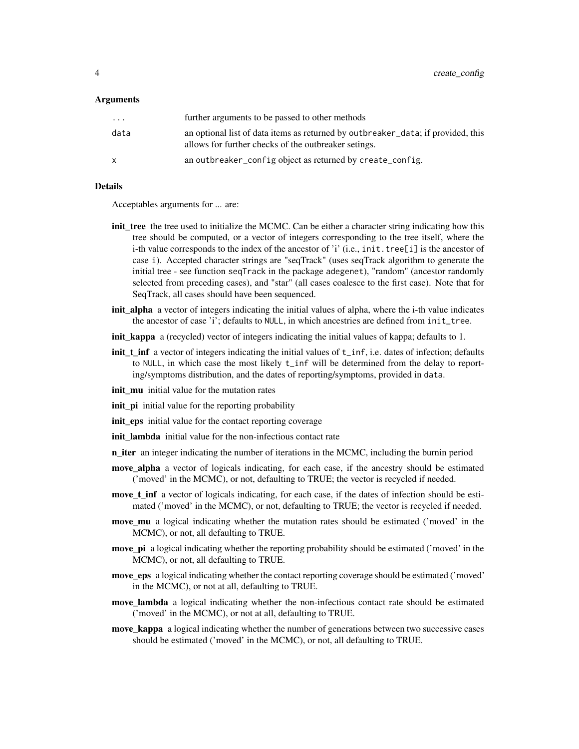#### Arguments

| $\cdots$ | further arguments to be passed to other methods                                                                                          |
|----------|------------------------------------------------------------------------------------------------------------------------------------------|
| data     | an optional list of data items as returned by outbreaker_data; if provided, this<br>allows for further checks of the outbreaker setings. |
| X        | an outbreaker_config object as returned by create_config.                                                                                |

# Details

Acceptables arguments for ... are:

- init\_tree the tree used to initialize the MCMC. Can be either a character string indicating how this tree should be computed, or a vector of integers corresponding to the tree itself, where the i-th value corresponds to the index of the ancestor of 'i' (i.e., init.tree[i] is the ancestor of case i). Accepted character strings are "seqTrack" (uses seqTrack algorithm to generate the initial tree - see function seqTrack in the package adegenet), "random" (ancestor randomly selected from preceding cases), and "star" (all cases coalesce to the first case). Note that for SeqTrack, all cases should have been sequenced.
- init\_alpha a vector of integers indicating the initial values of alpha, where the i-th value indicates the ancestor of case 'i'; defaults to NULL, in which ancestries are defined from init\_tree.
- init\_kappa a (recycled) vector of integers indicating the initial values of kappa; defaults to 1.
- init\_t\_inf a vector of integers indicating the initial values of t\_inf, i.e. dates of infection; defaults to NULL, in which case the most likely t\_inf will be determined from the delay to reporting/symptoms distribution, and the dates of reporting/symptoms, provided in data.
- init\_mu initial value for the mutation rates
- **init\_pi** initial value for the reporting probability
- init\_eps initial value for the contact reporting coverage
- init lambda initial value for the non-infectious contact rate
- n\_iter an integer indicating the number of iterations in the MCMC, including the burnin period
- move\_alpha a vector of logicals indicating, for each case, if the ancestry should be estimated ('moved' in the MCMC), or not, defaulting to TRUE; the vector is recycled if needed.
- move\_t\_inf a vector of logicals indicating, for each case, if the dates of infection should be estimated ('moved' in the MCMC), or not, defaulting to TRUE; the vector is recycled if needed.
- move\_mu a logical indicating whether the mutation rates should be estimated ('moved' in the MCMC), or not, all defaulting to TRUE.
- move\_pi a logical indicating whether the reporting probability should be estimated ('moved' in the MCMC), or not, all defaulting to TRUE.
- move\_eps a logical indicating whether the contact reporting coverage should be estimated ('moved' in the MCMC), or not at all, defaulting to TRUE.
- move\_lambda a logical indicating whether the non-infectious contact rate should be estimated ('moved' in the MCMC), or not at all, defaulting to TRUE.
- move\_kappa a logical indicating whether the number of generations between two successive cases should be estimated ('moved' in the MCMC), or not, all defaulting to TRUE.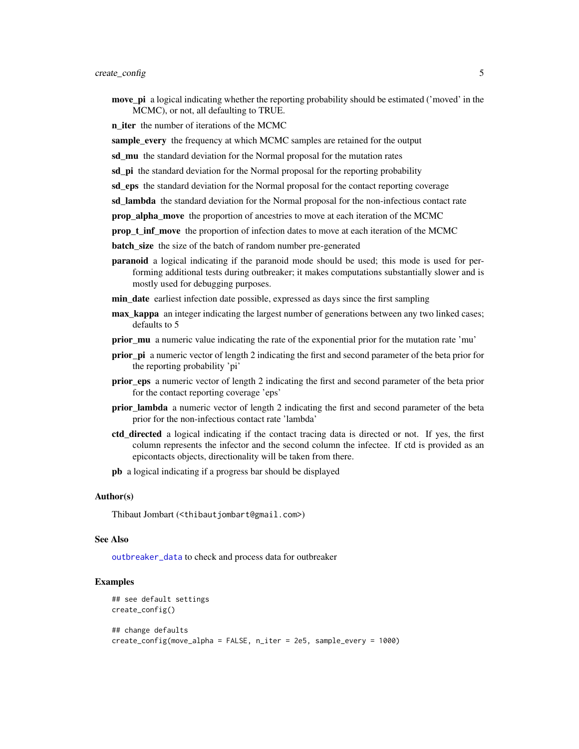<span id="page-4-0"></span>move\_pi a logical indicating whether the reporting probability should be estimated ('moved' in the MCMC), or not, all defaulting to TRUE.

**n\_iter** the number of iterations of the MCMC

sample\_every the frequency at which MCMC samples are retained for the output

sd\_mu the standard deviation for the Normal proposal for the mutation rates

sd\_pi the standard deviation for the Normal proposal for the reporting probability

sd\_eps the standard deviation for the Normal proposal for the contact reporting coverage

sd\_lambda the standard deviation for the Normal proposal for the non-infectious contact rate

prop\_alpha\_move the proportion of ancestries to move at each iteration of the MCMC

prop\_t\_inf\_move the proportion of infection dates to move at each iteration of the MCMC

**batch** size the size of the batch of random number pre-generated

paranoid a logical indicating if the paranoid mode should be used; this mode is used for performing additional tests during outbreaker; it makes computations substantially slower and is mostly used for debugging purposes.

min\_date earliest infection date possible, expressed as days since the first sampling

- **max** kappa an integer indicating the largest number of generations between any two linked cases; defaults to 5
- prior\_mu a numeric value indicating the rate of the exponential prior for the mutation rate 'mu'
- prior pi a numeric vector of length 2 indicating the first and second parameter of the beta prior for the reporting probability 'pi'
- prior eps a numeric vector of length 2 indicating the first and second parameter of the beta prior for the contact reporting coverage 'eps'
- prior\_lambda a numeric vector of length 2 indicating the first and second parameter of the beta prior for the non-infectious contact rate 'lambda'
- ctd directed a logical indicating if the contact tracing data is directed or not. If yes, the first column represents the infector and the second column the infectee. If ctd is provided as an epicontacts objects, directionality will be taken from there.
- pb a logical indicating if a progress bar should be displayed

# Author(s)

Thibaut Jombart (<thibautjombart@gmail.com>)

#### See Also

[outbreaker\\_data](#page-16-1) to check and process data for outbreaker

# **Examples**

```
## see default settings
create_config()
## change defaults
```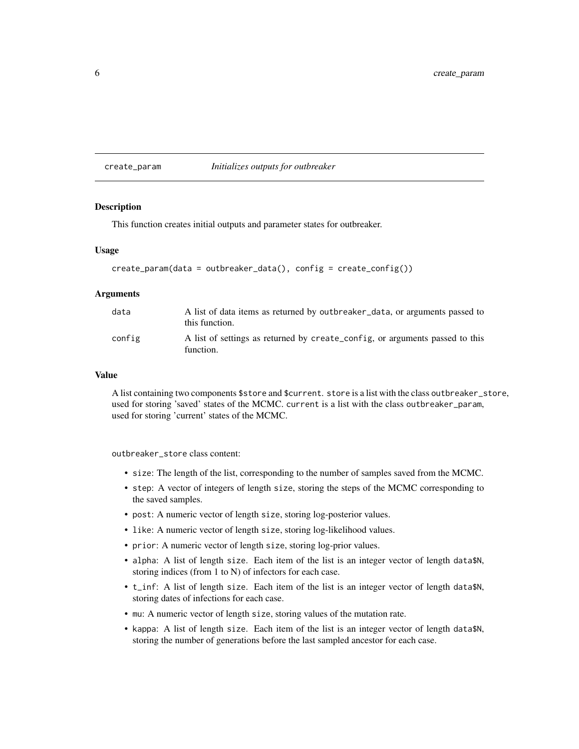<span id="page-5-1"></span><span id="page-5-0"></span>create\_param *Initializes outputs for outbreaker*

#### Description

This function creates initial outputs and parameter states for outbreaker.

# Usage

```
create\_param(data = outbreak\_data(), config = create\_config())
```
#### Arguments

| data   | A list of data items as returned by outbreaker_data, or arguments passed to<br>this function. |
|--------|-----------------------------------------------------------------------------------------------|
| config | A list of settings as returned by create_config, or arguments passed to this<br>function.     |

#### Value

A list containing two components \$store and \$current. store is a list with the class outbreaker\_store, used for storing 'saved' states of the MCMC. current is a list with the class outbreaker\_param, used for storing 'current' states of the MCMC.

outbreaker\_store class content:

- size: The length of the list, corresponding to the number of samples saved from the MCMC.
- step: A vector of integers of length size, storing the steps of the MCMC corresponding to the saved samples.
- post: A numeric vector of length size, storing log-posterior values.
- like: A numeric vector of length size, storing log-likelihood values.
- prior: A numeric vector of length size, storing log-prior values.
- alpha: A list of length size. Each item of the list is an integer vector of length data\$N, storing indices (from 1 to N) of infectors for each case.
- t\_inf: A list of length size. Each item of the list is an integer vector of length data\$N, storing dates of infections for each case.
- mu: A numeric vector of length size, storing values of the mutation rate.
- kappa: A list of length size. Each item of the list is an integer vector of length data\$N, storing the number of generations before the last sampled ancestor for each case.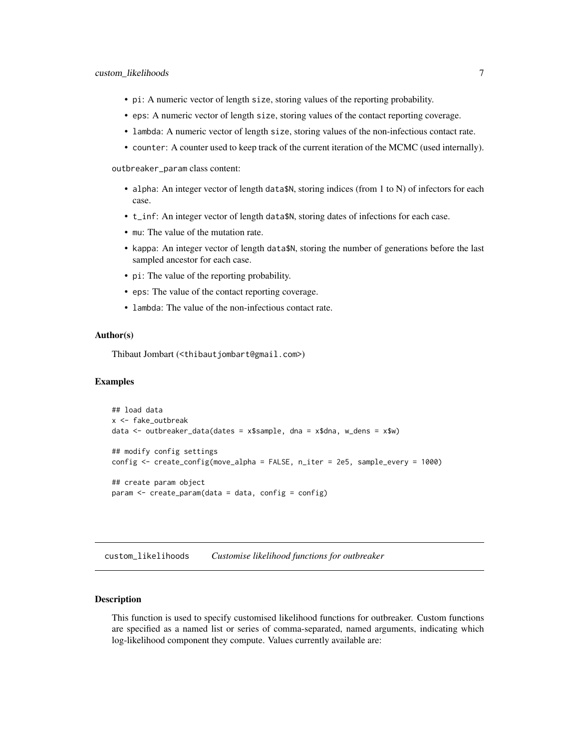- <span id="page-6-0"></span>• pi: A numeric vector of length size, storing values of the reporting probability.
- eps: A numeric vector of length size, storing values of the contact reporting coverage.
- lambda: A numeric vector of length size, storing values of the non-infectious contact rate.
- counter: A counter used to keep track of the current iteration of the MCMC (used internally).

outbreaker\_param class content:

- alpha: An integer vector of length data\$N, storing indices (from 1 to N) of infectors for each case.
- t\_inf: An integer vector of length data\$N, storing dates of infections for each case.
- mu: The value of the mutation rate.
- kappa: An integer vector of length data\$N, storing the number of generations before the last sampled ancestor for each case.
- pi: The value of the reporting probability.
- eps: The value of the contact reporting coverage.
- lambda: The value of the non-infectious contact rate.

#### Author(s)

Thibaut Jombart (<thibautjombart@gmail.com>)

# Examples

```
## load data
x <- fake_outbreak
data <- outbreaker_data(dates = x$sample, dna = x$dna, w_dens = x$w)
## modify config settings
config <- create_config(move_alpha = FALSE, n_iter = 2e5, sample_every = 1000)
## create param object
param <- create_param(data = data, config = config)
```
<span id="page-6-1"></span>custom\_likelihoods *Customise likelihood functions for outbreaker*

### **Description**

This function is used to specify customised likelihood functions for outbreaker. Custom functions are specified as a named list or series of comma-separated, named arguments, indicating which log-likelihood component they compute. Values currently available are: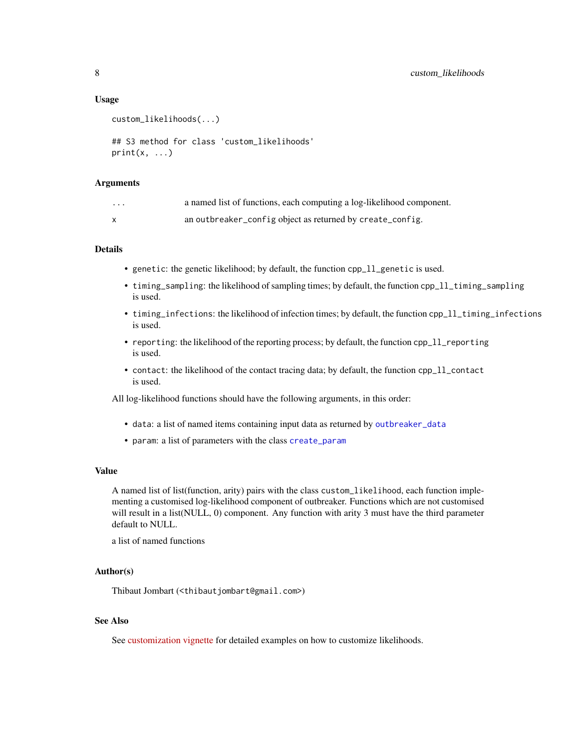# Usage

```
custom_likelihoods(...)
## S3 method for class 'custom_likelihoods'
print(x, \ldots)
```
# Arguments

| . | a named list of functions, each computing a log-likelihood component. |
|---|-----------------------------------------------------------------------|
|   | an outbreaker_config object as returned by create_config.             |

# Details

- genetic: the genetic likelihood; by default, the function cpp\_ll\_genetic is used.
- timing\_sampling: the likelihood of sampling times; by default, the function cpp\_ll\_timing\_sampling is used.
- timing\_infections: the likelihood of infection times; by default, the function cpp\_ll\_timing\_infections is used.
- reporting: the likelihood of the reporting process; by default, the function cpp\_ll\_reporting is used.
- contact: the likelihood of the contact tracing data; by default, the function cpp\_ll\_contact is used.

All log-likelihood functions should have the following arguments, in this order:

- data: a list of named items containing input data as returned by [outbreaker\\_data](#page-16-1)
- param: a list of parameters with the class [create\\_param](#page-5-1)

#### Value

A named list of list(function, arity) pairs with the class custom\_likelihood, each function implementing a customised log-likelihood component of outbreaker. Functions which are not customised will result in a list(NULL, 0) component. Any function with arity 3 must have the third parameter default to NULL.

a list of named functions

#### Author(s)

Thibaut Jombart (<thibautjombart@gmail.com>)

# See Also

See [customization vignette](http://www.repidemicsconsortium.org/outbreaker2/articles/customisation.html#customizing-likelihood) for detailed examples on how to customize likelihoods.

<span id="page-7-0"></span>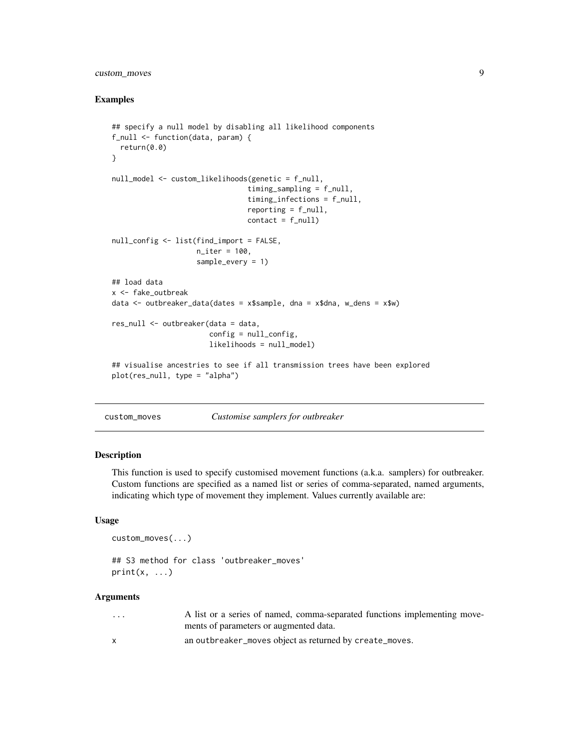# <span id="page-8-0"></span>custom\_moves 9

# Examples

```
## specify a null model by disabling all likelihood components
f_null <- function(data, param) {
  return(0.0)
}
null_model <- custom_likelihoods(genetic = f_null,
                                timing_sampling = f_null,
                                timing_infections = f_null,
                                reporting = f\_null,contact = f_nullnull_config <- list(find_import = FALSE,
                    n_iter = 100,
                    sample_every = 1)
## load data
x <- fake_outbreak
data <- outbreaker_data(dates = x$sample, dna = x$dna, w_dens = x$w)
res_null <- outbreaker(data = data,
                       config = null_{config},
                       likelihoods = null_model)
## visualise ancestries to see if all transmission trees have been explored
plot(res_null, type = "alpha")
```
<span id="page-8-1"></span>custom\_moves *Customise samplers for outbreaker*

#### Description

This function is used to specify customised movement functions (a.k.a. samplers) for outbreaker. Custom functions are specified as a named list or series of comma-separated, named arguments, indicating which type of movement they implement. Values currently available are:

# Usage

```
custom_moves(...)
```

```
## S3 method for class 'outbreaker_moves'
print(x, \ldots)
```
#### Arguments

| $\cdots$ | A list or a series of named, comma-separated functions implementing move- |
|----------|---------------------------------------------------------------------------|
|          | ments of parameters or augmented data.                                    |
|          | an outbreaker_moves object as returned by create_moves.                   |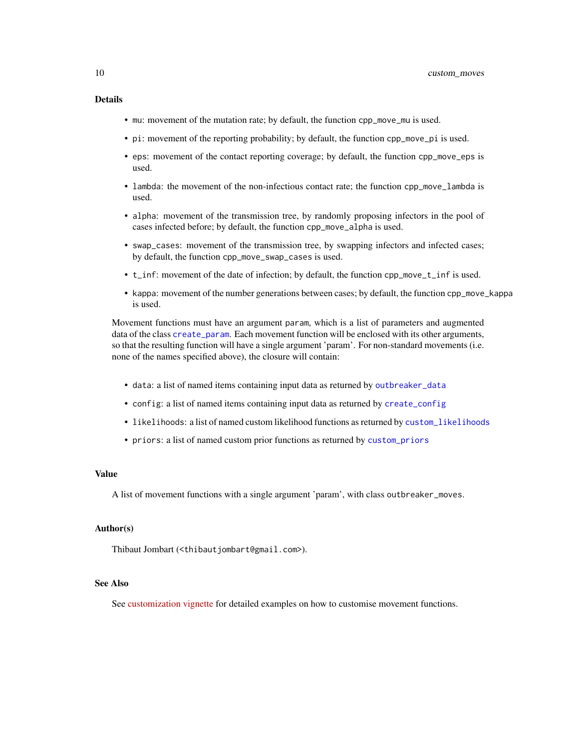# <span id="page-9-0"></span>Details

- mu: movement of the mutation rate; by default, the function cpp\_move\_mu is used.
- pi: movement of the reporting probability; by default, the function cpp\_move\_pi is used.
- eps: movement of the contact reporting coverage; by default, the function cpp\_move\_eps is used.
- lambda: the movement of the non-infectious contact rate; the function cpp\_move\_lambda is used.
- alpha: movement of the transmission tree, by randomly proposing infectors in the pool of cases infected before; by default, the function cpp\_move\_alpha is used.
- swap\_cases: movement of the transmission tree, by swapping infectors and infected cases; by default, the function cpp\_move\_swap\_cases is used.
- t\_inf: movement of the date of infection; by default, the function cpp\_move\_t\_inf is used.
- kappa: movement of the number generations between cases; by default, the function cpp\_move\_kappa is used.

Movement functions must have an argument param, which is a list of parameters and augmented data of the class [create\\_param](#page-5-1). Each movement function will be enclosed with its other arguments, so that the resulting function will have a single argument 'param'. For non-standard movements (i.e. none of the names specified above), the closure will contain:

- data: a list of named items containing input data as returned by [outbreaker\\_data](#page-16-1)
- config: a list of named items containing input data as returned by [create\\_config](#page-2-1)
- likelihoods: a list of named custom likelihood functions as returned by [custom\\_likelihoods](#page-6-1)
- priors: a list of named custom prior functions as returned by [custom\\_priors](#page-10-1)

# Value

A list of movement functions with a single argument 'param', with class outbreaker\_moves.

# Author(s)

Thibaut Jombart (<thibautjombart@gmail.com>).

# See Also

See [customization vignette](http://www.repidemicsconsortium.org/outbreaker2/articles/customisation.html#customising-movements) for detailed examples on how to customise movement functions.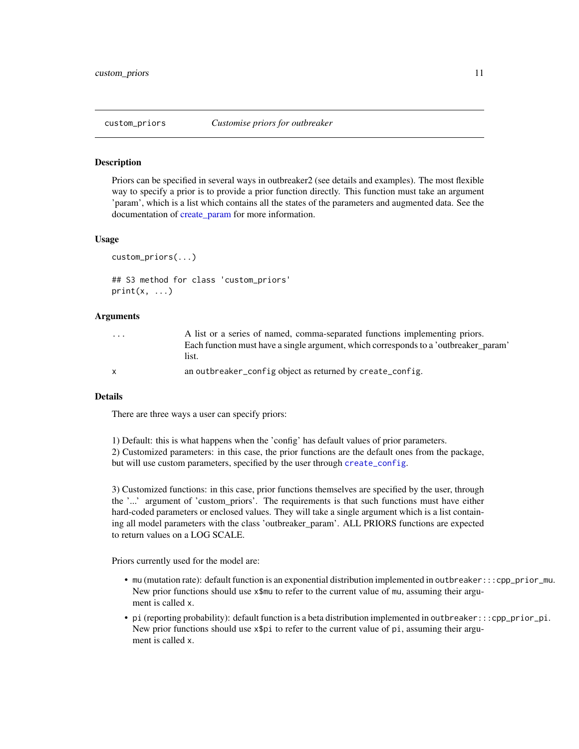<span id="page-10-1"></span><span id="page-10-0"></span>

#### Description

Priors can be specified in several ways in outbreaker2 (see details and examples). The most flexible way to specify a prior is to provide a prior function directly. This function must take an argument 'param', which is a list which contains all the states of the parameters and augmented data. See the documentation of create param for more information.

#### Usage

```
custom_priors(...)
```

```
## S3 method for class 'custom_priors'
print(x, \ldots)
```
#### Arguments

| $\cdots$     | A list or a series of named, comma-separated functions implementing priors.          |
|--------------|--------------------------------------------------------------------------------------|
|              | Each function must have a single argument, which corresponds to a 'outbreaker_param' |
|              | list.                                                                                |
| $\mathsf{x}$ | an outbreaker_config object as returned by create_config.                            |

#### Details

There are three ways a user can specify priors:

1) Default: this is what happens when the 'config' has default values of prior parameters.

2) Customized parameters: in this case, the prior functions are the default ones from the package, but will use custom parameters, specified by the user through [create\\_config](#page-2-1).

3) Customized functions: in this case, prior functions themselves are specified by the user, through the '...' argument of 'custom\_priors'. The requirements is that such functions must have either hard-coded parameters or enclosed values. They will take a single argument which is a list containing all model parameters with the class 'outbreaker\_param'. ALL PRIORS functions are expected to return values on a LOG SCALE.

Priors currently used for the model are:

- mu (mutation rate): default function is an exponential distribution implemented in outbreaker:::cpp\_prior\_mu. New prior functions should use x\$mu to refer to the current value of mu, assuming their argument is called x.
- pi (reporting probability): default function is a beta distribution implemented in outbreaker:::cpp\_prior\_pi. New prior functions should use  $x$ \$pi to refer to the current value of pi, assuming their argument is called x.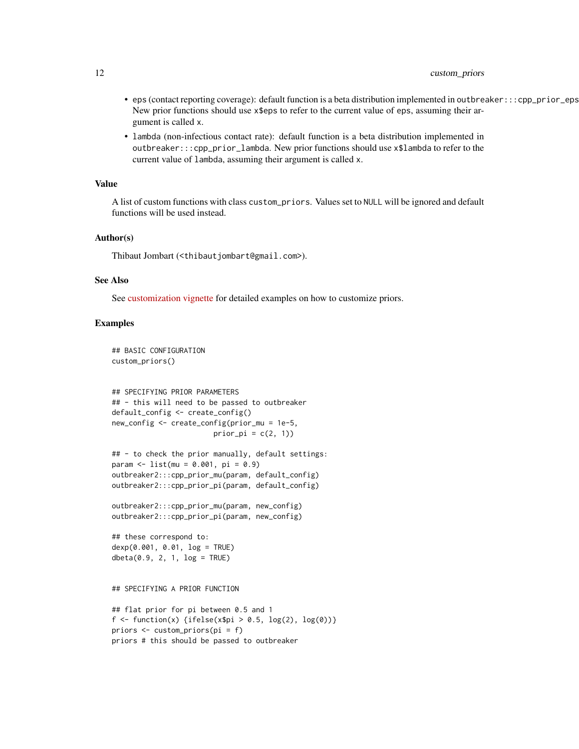# 12 custom\_priors

- eps (contact reporting coverage): default function is a beta distribution implemented in outbreaker:::cpp\_prior\_eps. New prior functions should use x\$eps to refer to the current value of eps, assuming their argument is called x.
- lambda (non-infectious contact rate): default function is a beta distribution implemented in outbreaker:::cpp\_prior\_lambda. New prior functions should use x\$lambda to refer to the current value of lambda, assuming their argument is called x.

#### Value

A list of custom functions with class custom\_priors. Values set to NULL will be ignored and default functions will be used instead.

#### Author(s)

Thibaut Jombart (<thibautjombart@gmail.com>).

#### See Also

See [customization vignette](http://www.repidemicsconsortium.org/outbreaker2/articles/customisation.html#customising-priors) for detailed examples on how to customize priors.

#### Examples

```
## BASIC CONFIGURATION
custom_priors()
```

```
## SPECIFYING PRIOR PARAMETERS
## - this will need to be passed to outbreaker
default_config <- create_config()
new_config <- create_config(prior_mu = 1e-5,
                        prior\_pi = c(2, 1)
```

```
## - to check the prior manually, default settings:
param <- list(mu = 0.001, pi = 0.9)
outbreaker2:::cpp_prior_mu(param, default_config)
outbreaker2:::cpp_prior_pi(param, default_config)
```

```
outbreaker2:::cpp_prior_mu(param, new_config)
outbreaker2:::cpp_prior_pi(param, new_config)
```

```
## these correspond to:
dexp(0.001, 0.01, log = TRUE)
\text{dbeta}(0.9, 2, 1, \text{log} = \text{TRUE})
```
## SPECIFYING A PRIOR FUNCTION

```
## flat prior for pi between 0.5 and 1
f <- function(x) {ifelse(x$pi > 0.5, log(2), log(0))}
priors <- custom_priors(pi = f)
priors # this should be passed to outbreaker
```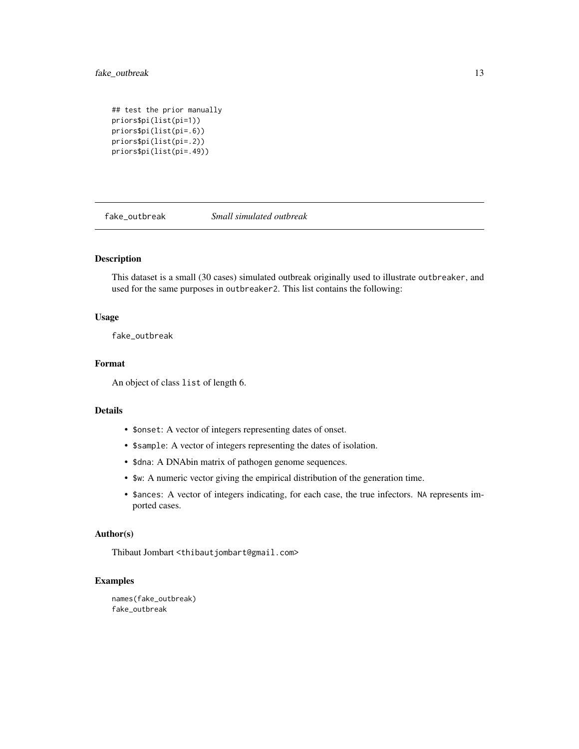# <span id="page-12-0"></span>fake\_outbreak 13

```
## test the prior manually
priors$pi(list(pi=1))
priors$pi(list(pi=.6))
priors$pi(list(pi=.2))
priors$pi(list(pi=.49))
```
fake\_outbreak *Small simulated outbreak*

# Description

This dataset is a small (30 cases) simulated outbreak originally used to illustrate outbreaker, and used for the same purposes in outbreaker2. This list contains the following:

# Usage

fake\_outbreak

# Format

An object of class list of length 6.

# Details

- \$onset: A vector of integers representing dates of onset.
- \$sample: A vector of integers representing the dates of isolation.
- \$dna: A DNAbin matrix of pathogen genome sequences.
- \$w: A numeric vector giving the empirical distribution of the generation time.
- \$ances: A vector of integers indicating, for each case, the true infectors. NA represents imported cases.

#### Author(s)

Thibaut Jombart <thibautjombart@gmail.com>

# Examples

names(fake\_outbreak) fake\_outbreak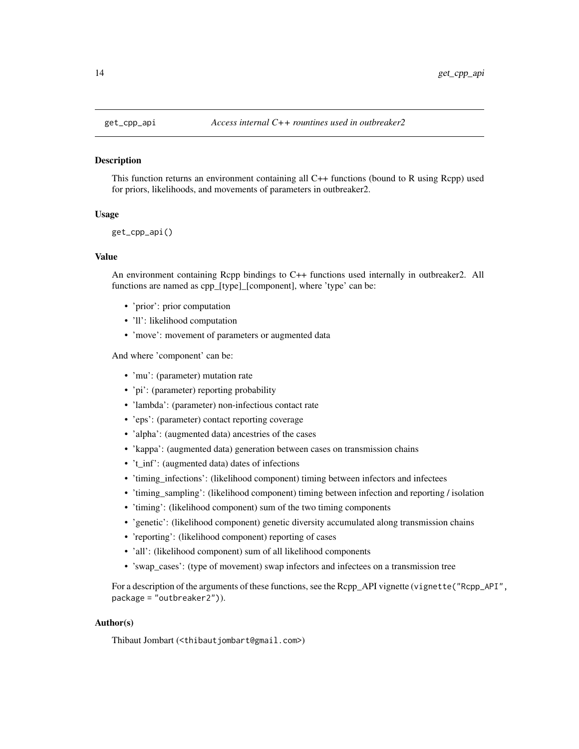<span id="page-13-0"></span>

# Description

This function returns an environment containing all C++ functions (bound to R using Rcpp) used for priors, likelihoods, and movements of parameters in outbreaker2.

#### Usage

get\_cpp\_api()

#### Value

An environment containing Rcpp bindings to C++ functions used internally in outbreaker2. All functions are named as cpp\_[type]\_[component], where 'type' can be:

- 'prior': prior computation
- 'll': likelihood computation
- 'move': movement of parameters or augmented data

And where 'component' can be:

- 'mu': (parameter) mutation rate
- 'pi': (parameter) reporting probability
- 'lambda': (parameter) non-infectious contact rate
- 'eps': (parameter) contact reporting coverage
- 'alpha': (augmented data) ancestries of the cases
- 'kappa': (augmented data) generation between cases on transmission chains
- 't\_inf': (augmented data) dates of infections
- 'timing\_infections': (likelihood component) timing between infectors and infectees
- 'timing\_sampling': (likelihood component) timing between infection and reporting / isolation
- 'timing': (likelihood component) sum of the two timing components
- 'genetic': (likelihood component) genetic diversity accumulated along transmission chains
- 'reporting': (likelihood component) reporting of cases
- 'all': (likelihood component) sum of all likelihood components
- 'swap\_cases': (type of movement) swap infectors and infectees on a transmission tree

For a description of the arguments of these functions, see the Rcpp\_API vignette (vignette("Rcpp\_API", package = "outbreaker2")).

# Author(s)

Thibaut Jombart (<thibautjombart@gmail.com>)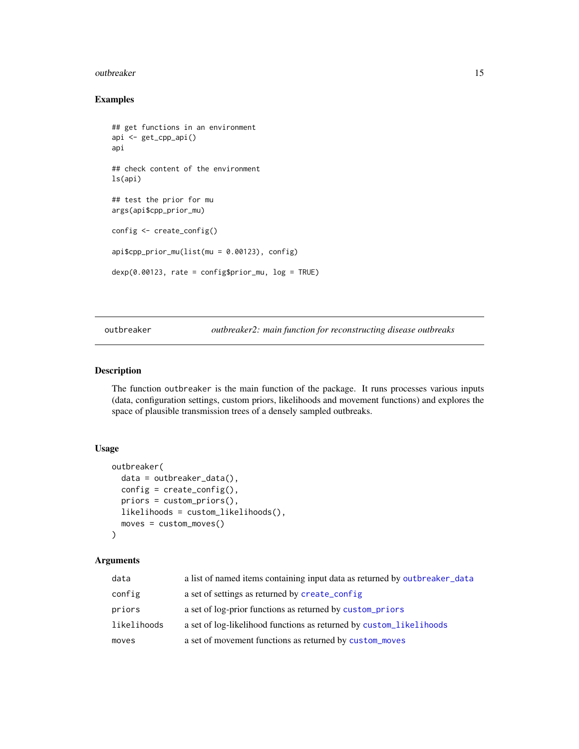#### <span id="page-14-0"></span>outbreaker and the state of the state of the state of the state of the state of the state of the state of the state of the state of the state of the state of the state of the state of the state of the state of the state of

# Examples

```
## get functions in an environment
api <- get_cpp_api()
api
## check content of the environment
ls(api)
## test the prior for mu
args(api$cpp_prior_mu)
config <- create_config()
api$cpp_prior_mu(list(mu = 0.00123), config)
dexp(0.00123, rate = configuration_mu, log = TRUE)
```
<span id="page-14-1"></span>outbreaker *outbreaker2: main function for reconstructing disease outbreaks*

# Description

The function outbreaker is the main function of the package. It runs processes various inputs (data, configuration settings, custom priors, likelihoods and movement functions) and explores the space of plausible transmission trees of a densely sampled outbreaks.

# Usage

```
outbreaker(
  data = outbreaker_data(),
  config = create\_config(),priors = custom_priors(),
  likelihoods = custom_likelihoods(),
 moves = custom_moves()
)
```
# Arguments

| data        | a list of named items containing input data as returned by outbreaker_data |
|-------------|----------------------------------------------------------------------------|
| config      | a set of settings as returned by create_config                             |
| priors      | a set of log-prior functions as returned by custom_priors                  |
| likelihoods | a set of log-likelihood functions as returned by custom likelihoods        |
| moves       | a set of movement functions as returned by custom_moves                    |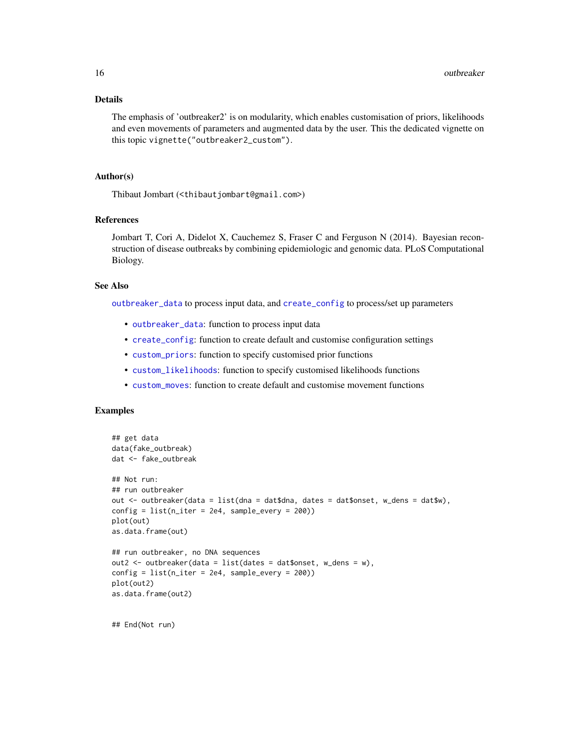# <span id="page-15-0"></span>Details

The emphasis of 'outbreaker2' is on modularity, which enables customisation of priors, likelihoods and even movements of parameters and augmented data by the user. This the dedicated vignette on this topic vignette("outbreaker2\_custom").

# Author(s)

Thibaut Jombart (<thibautjombart@gmail.com>)

#### References

Jombart T, Cori A, Didelot X, Cauchemez S, Fraser C and Ferguson N (2014). Bayesian reconstruction of disease outbreaks by combining epidemiologic and genomic data. PLoS Computational Biology.

# See Also

[outbreaker\\_data](#page-16-1) to process input data, and [create\\_config](#page-2-1) to process/set up parameters

- [outbreaker\\_data](#page-16-1): function to process input data
- [create\\_config](#page-2-1): function to create default and customise configuration settings
- [custom\\_priors](#page-10-1): function to specify customised prior functions
- [custom\\_likelihoods](#page-6-1): function to specify customised likelihoods functions
- [custom\\_moves](#page-8-1): function to create default and customise movement functions

#### Examples

```
## get data
data(fake_outbreak)
dat <- fake_outbreak
## Not run:
## run outbreaker
out <- outbreaker(data = list(dna = dat$dna, dates = dat$onset, w_dens = dat$w),
config = list(n\_iter = 2e4, sample\_every = 200)plot(out)
as.data.frame(out)
## run outbreaker, no DNA sequences
out2 <- outbreaker(data = list(dates = dat$onset, w_dens = w),
config = list(n_iter = 2e4, sample_every = 200))
plot(out2)
as.data.frame(out2)
```
## End(Not run)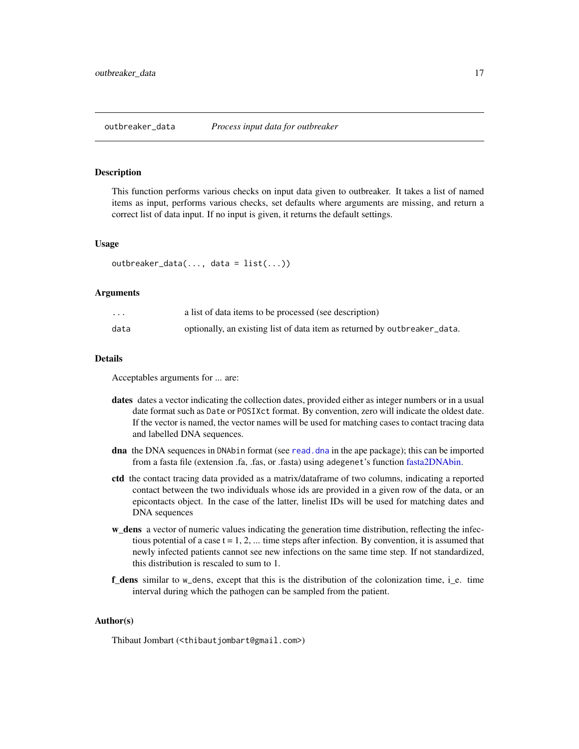# <span id="page-16-1"></span><span id="page-16-0"></span>Description

This function performs various checks on input data given to outbreaker. It takes a list of named items as input, performs various checks, set defaults where arguments are missing, and return a correct list of data input. If no input is given, it returns the default settings.

#### Usage

```
outbreaker_data(..., data = list(...))
```
#### Arguments

| $\cdots$ | a list of data items to be processed (see description)                    |
|----------|---------------------------------------------------------------------------|
| data     | optionally, an existing list of data item as returned by outbreaker_data. |

# Details

Acceptables arguments for ... are:

- dates dates a vector indicating the collection dates, provided either as integer numbers or in a usual date format such as Date or POSIXct format. By convention, zero will indicate the oldest date. If the vector is named, the vector names will be used for matching cases to contact tracing data and labelled DNA sequences.
- dna the DNA sequences in DNAbin format (see [read.dna](#page-0-0) in the ape package); this can be imported from a fasta file (extension .fa, .fas, or .fasta) using adegenet's function [fasta2DNAbin.](#page-0-0)
- ctd the contact tracing data provided as a matrix/dataframe of two columns, indicating a reported contact between the two individuals whose ids are provided in a given row of the data, or an epicontacts object. In the case of the latter, linelist IDs will be used for matching dates and DNA sequences
- w\_dens a vector of numeric values indicating the generation time distribution, reflecting the infectious potential of a case  $t = 1, 2, \dots$  time steps after infection. By convention, it is assumed that newly infected patients cannot see new infections on the same time step. If not standardized, this distribution is rescaled to sum to 1.
- f\_dens similar to w\_dens, except that this is the distribution of the colonization time, i\_e. time interval during which the pathogen can be sampled from the patient.

#### Author(s)

Thibaut Jombart (<thibautjombart@gmail.com>)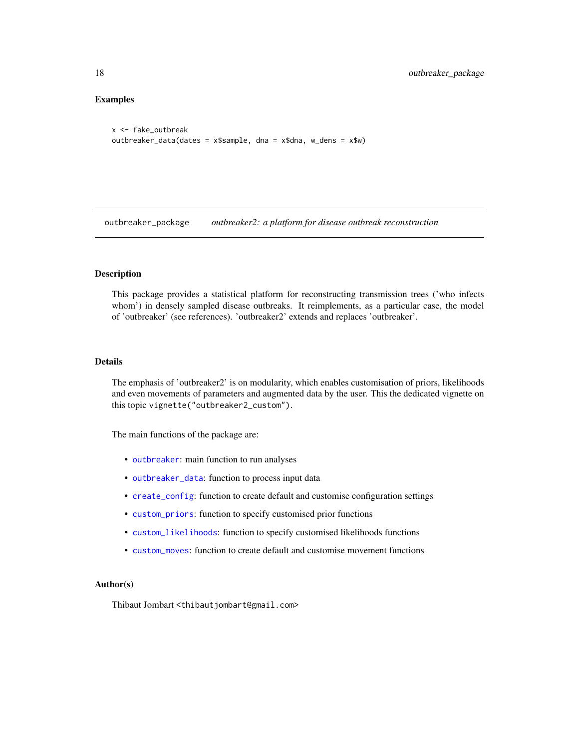# <span id="page-17-0"></span>Examples

```
x <- fake_outbreak
outbreaker_data(dates = x$sample, dna = x$dna, w_dens = x$w)
```
outbreaker\_package *outbreaker2: a platform for disease outbreak reconstruction*

# Description

This package provides a statistical platform for reconstructing transmission trees ('who infects whom') in densely sampled disease outbreaks. It reimplements, as a particular case, the model of 'outbreaker' (see references). 'outbreaker2' extends and replaces 'outbreaker'.

#### Details

The emphasis of 'outbreaker2' is on modularity, which enables customisation of priors, likelihoods and even movements of parameters and augmented data by the user. This the dedicated vignette on this topic vignette("outbreaker2\_custom").

The main functions of the package are:

- [outbreaker](#page-14-1): main function to run analyses
- [outbreaker\\_data](#page-16-1): function to process input data
- [create\\_config](#page-2-1): function to create default and customise configuration settings
- [custom\\_priors](#page-10-1): function to specify customised prior functions
- [custom\\_likelihoods](#page-6-1): function to specify customised likelihoods functions
- [custom\\_moves](#page-8-1): function to create default and customise movement functions

# Author(s)

Thibaut Jombart <thibautjombart@gmail.com>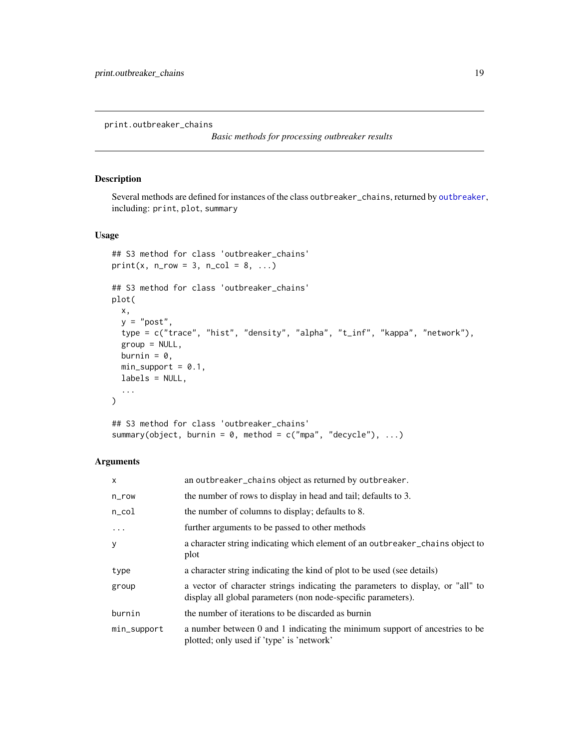<span id="page-18-0"></span>print.outbreaker\_chains

*Basic methods for processing outbreaker results*

# Description

Several methods are defined for instances of the class outbreaker\_chains, returned by [outbreaker](#page-14-1), including: print, plot, summary

# Usage

```
## S3 method for class 'outbreaker_chains'
print(x, n_{row} = 3, n_{col} = 8, ...)## S3 method for class 'outbreaker_chains'
plot(
 x,
 y = "post",type = c("trace", "hist", "density", "alpha", "t_inf", "kappa", "network"),
  group = NULL,burnin = 0,
 min\_support = 0.1,
 labels = NULL,...
\mathcal{L}
```

```
## S3 method for class 'outbreaker_chains'
summary(object, burnin = 0, method = c("mpa", "decycle"), ...)
```
# Arguments

| $\mathsf{x}$ | an outbreaker_chains object as returned by outbreaker.                                                                                           |
|--------------|--------------------------------------------------------------------------------------------------------------------------------------------------|
| $n$ _ $row$  | the number of rows to display in head and tail; defaults to 3.                                                                                   |
| $n\_{col}$   | the number of columns to display; defaults to 8.                                                                                                 |
| $\ddots$ .   | further arguments to be passed to other methods                                                                                                  |
| y            | a character string indicating which element of an outbreaker_chains object to<br>plot                                                            |
| type         | a character string indicating the kind of plot to be used (see details)                                                                          |
| group        | a vector of character strings indicating the parameters to display, or "all" to<br>display all global parameters (non node-specific parameters). |
| burnin       | the number of iterations to be discarded as burnin                                                                                               |
| min_support  | a number between 0 and 1 indicating the minimum support of ancestries to be<br>plotted; only used if 'type' is 'network'                         |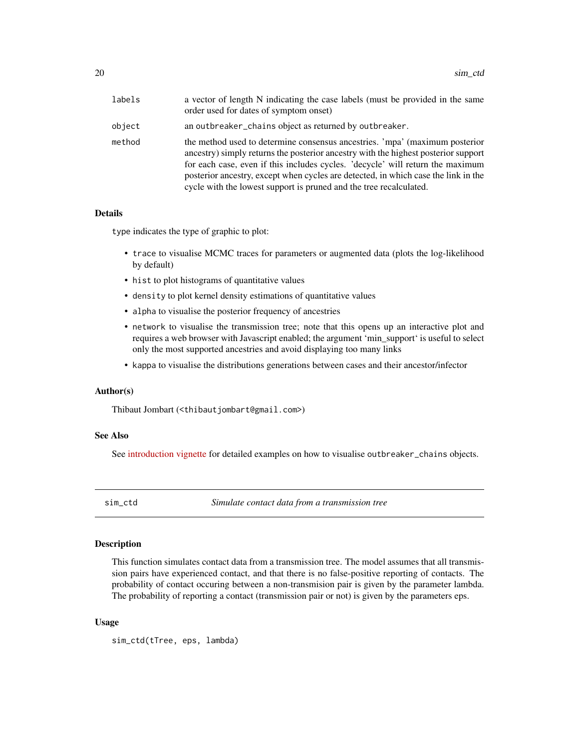<span id="page-19-0"></span>

| labels | a vector of length N indicating the case labels (must be provided in the same<br>order used for dates of symptom onset)                                                                                                                                                                                                                                                                                         |
|--------|-----------------------------------------------------------------------------------------------------------------------------------------------------------------------------------------------------------------------------------------------------------------------------------------------------------------------------------------------------------------------------------------------------------------|
| object | an outbreaker_chains object as returned by outbreaker.                                                                                                                                                                                                                                                                                                                                                          |
| method | the method used to determine consensus ancestries. 'mpa' (maximum posterior<br>ancestry) simply returns the posterior ancestry with the highest posterior support<br>for each case, even if this includes cycles. 'decycle' will return the maximum<br>posterior ancestry, except when cycles are detected, in which case the link in the<br>cycle with the lowest support is pruned and the tree recalculated. |

#### Details

type indicates the type of graphic to plot:

- trace to visualise MCMC traces for parameters or augmented data (plots the log-likelihood by default)
- hist to plot histograms of quantitative values
- density to plot kernel density estimations of quantitative values
- alpha to visualise the posterior frequency of ancestries
- network to visualise the transmission tree; note that this opens up an interactive plot and requires a web browser with Javascript enabled; the argument 'min\_support' is useful to select only the most supported ancestries and avoid displaying too many links
- kappa to visualise the distributions generations between cases and their ancestor/infector

#### Author(s)

Thibaut Jombart (<thibautjombart@gmail.com>)

# See Also

See [introduction vignette](http://www.repidemicsconsortium.org/outbreaker2/articles/introduction.html#graphics) for detailed examples on how to visualise outbreaker\_chains objects.

sim\_ctd *Simulate contact data from a transmission tree*

# **Description**

This function simulates contact data from a transmission tree. The model assumes that all transmission pairs have experienced contact, and that there is no false-positive reporting of contacts. The probability of contact occuring between a non-transmision pair is given by the parameter lambda. The probability of reporting a contact (transmission pair or not) is given by the parameters eps.

### Usage

```
sim_ctd(tTree, eps, lambda)
```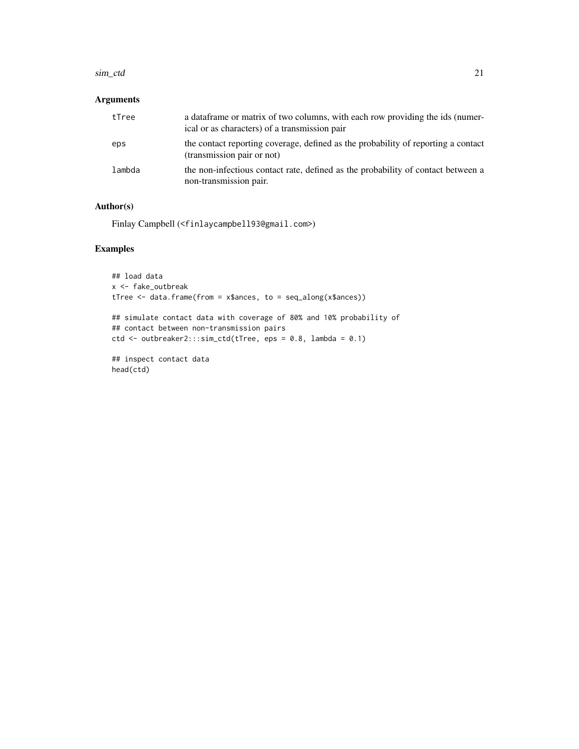#### sim\_ctd 21

# Arguments

| tTree  | a data frame or matrix of two columns, with each row providing the ids (numer-<br>ical or as characters) of a transmission pair |
|--------|---------------------------------------------------------------------------------------------------------------------------------|
| eps    | the contact reporting coverage, defined as the probability of reporting a contact<br>(transmission pair or not)                 |
| lambda | the non-infectious contact rate, defined as the probability of contact between a<br>non-transmission pair.                      |

# Author(s)

Finlay Campbell (<finlaycampbell93@gmail.com>)

# Examples

```
## load data
x <- fake_outbreak
tTree <- data.frame(from = x$ances, to = seq_along(x$ances))
## simulate contact data with coverage of 80% and 10% probability of
## contact between non-transmission pairs
ctd <- outbreaker2:::sim_ctd(tTree, eps = 0.8, lambda = 0.1)
## inspect contact data
head(ctd)
```